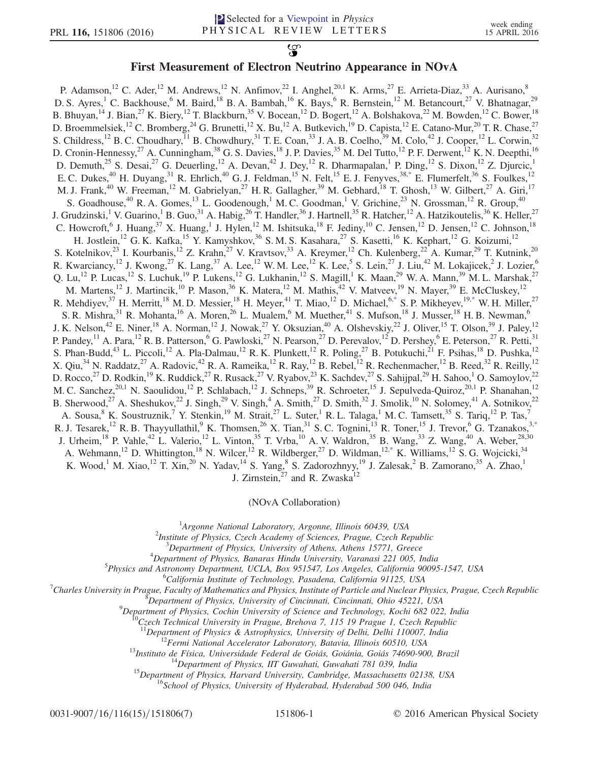## $\mathfrak{P}$ First Measurement of Electron Neutrino Appearance in NOvA

P. Adamson,<sup>12</sup> C. Ader,<sup>12</sup> M. Andrews,<sup>12</sup> N. Anfimov,<sup>22</sup> I. Anghel,<sup>20,1</sup> K. Arms,<sup>27</sup> E. Arrieta-Diaz,<sup>33</sup> A. Aurisano,<sup>8</sup> D. S. Ayres, <sup>1</sup> C. Backhouse, <sup>6</sup> M. Baird, <sup>18</sup> B. A. Bambah, <sup>16</sup> K. Bays, <sup>6</sup> R. Bernstein, <sup>12</sup> M. Betancourt, <sup>27</sup> V. Bhatnagar, <sup>29</sup> B. Bhuyan, <sup>14</sup> J. Bian, <sup>27</sup> K. Biery, <sup>12</sup> T. Blackburn, <sup>35</sup> V. Bocean, <sup>12</sup> D. Bogert, <sup>12</sup> A. Bolshakova, <sup>22</sup> M. Bowden, <sup>12</sup> C. Bower, <sup>18</sup> D. Broemmelsiek,<sup>12</sup> C. Bromberg,<sup>24</sup> G. Brunetti,<sup>12</sup> X. Bu,<sup>12</sup> A. Butkevich,<sup>19</sup> D. Capista,<sup>12</sup> E. Catano-Mur,<sup>20</sup> T. R. Chase,<sup>27</sup> S. Childress,<sup>12</sup> B. C. Choudhary,<sup>11</sup> B. Chowdhury,<sup>31</sup> T. E. Coan,<sup>33</sup> J. A. B. Coelho,<sup>39</sup> M. Colo,<sup>42</sup> J. Cooper,<sup>12</sup> L. Corwin,<sup>32</sup> D. Cronin-Hennessy,<sup>27</sup> A. Cunningham,<sup>38</sup> G. S. Davies,<sup>18</sup> J. P. Davies,<sup>35</sup> M. Del Tutto,<sup>12</sup> P. F. Derwent,<sup>12</sup> K. N. Deepthi,<sup>16</sup> D. Demuth,<sup>25</sup> S. Desai,<sup>27</sup> G. Deuerling,<sup>12</sup> A. Devan,<sup>42</sup> J. Dey,<sup>12</sup> R. Dharmapalan,<sup>1</sup> P. Ding,<sup>12</sup> S. Dixon,<sup>12</sup> Z. Djurcic,<sup>1</sup> E. C. Dukes,<sup>40</sup> H. Duyang,<sup>31</sup> R. Ehrlich,<sup>40</sup> G. J. Feldman,<sup>15</sup> N. Felt,<sup>15</sup> E. J. Fenyves,<sup>38[,\\*](#page-5-0)</sup> E. Flumerfelt,<sup>36</sup> S. Foulkes,<sup>12</sup> M. J. Frank,<sup>40</sup> W. Freeman,<sup>12</sup> M. Gabrielyan,<sup>27</sup> H. R. Gallagher,<sup>39</sup> M. Gebhard,<sup>18</sup> T. Ghosh,<sup>13</sup> W. Gilbert,<sup>27</sup> A. Giri,<sup>17</sup> S. Goadhouse,<sup>40</sup> R. A. Gomes,<sup>13</sup> L. Goodenough,<sup>1</sup> M. C. Goodman,<sup>1</sup> V. Grichine,<sup>23</sup> N. Grossman,<sup>12</sup> R. Group,<sup>40</sup> J. Grudzinski,<sup>1</sup> V. Guarino,<sup>1</sup> B. Guo,<sup>31</sup> A. Habig,<sup>26</sup> T. Handler,<sup>36</sup> J. Hartnell,<sup>35</sup> R. Hatcher,<sup>12</sup> A. Hatzikoutelis,<sup>36</sup> K. Heller,<sup>27</sup> C. Howcroft, <sup>6</sup> J. Huang, <sup>37</sup> X. Huang, <sup>1</sup> J. Hylen, <sup>12</sup> M. Ishitsuka, <sup>18</sup> F. Jediny, <sup>10</sup> C. Jensen, <sup>12</sup> D. Jensen, <sup>12</sup> C. Johnson, <sup>18</sup> H. Jostlein,<sup>12</sup> G. K. Kafka,<sup>15</sup> Y. Kamyshkov,<sup>36</sup> S. M. S. Kasahara,<sup>27</sup> S. Kasetti,<sup>16</sup> K. Kephart,<sup>12</sup> G. Koizumi,<sup>12</sup> S. Kotelnikov,  $^{23}$  I. Kourbanis,  $^{12}$  Z. Krahn,  $^{27}$  V. Kravtsov,  $^{33}$  A. Kreymer,  $^{12}$  Ch. Kulenberg,  $^{22}$  A. Kumar,  $^{29}$  T. Kutnink,  $^{20}$ R. Kwarciancy,<sup>12</sup> J. Kwong,<sup>27</sup> K. Lang,<sup>37</sup> A. Lee,<sup>12</sup> W. M. Lee,<sup>12</sup> K. Lee,<sup>5</sup> S. Lein,<sup>27</sup> J. Liu,<sup>42</sup> M. Lokajicek,<sup>2</sup> J. Lozier,<sup>6</sup> Q. Lu,<sup>12</sup> P. Lucas,<sup>12</sup> S. Luchuk,<sup>19</sup> P. Lukens,<sup>12</sup> G. Lukhanin,<sup>12</sup> S. Magill,<sup>1</sup> K. Maan,<sup>29</sup> W. A. Mann,<sup>39</sup> M. L. Marshak,<sup>27</sup> M. Martens,<sup>12</sup> J. Martincik,<sup>10</sup> P. Mason,<sup>36</sup> K. Matera,<sup>12</sup> M. Mathis,<sup>42</sup> V. Matveev,<sup>19</sup> N. Mayer,<sup>39</sup> E. McCluskey,<sup>12</sup> R. Mehdiyev, $^{37}$  H. Merritt, $^{18}$  M. D. Messier, $^{18}$  H. Meyer, $^{41}$  T. Miao, $^{12}$  D. Michael, $^{6,*}$  $^{6,*}$  $^{6,*}$  S. P. Mikheyev, $^{19,*}$  $^{19,*}$  $^{19,*}$  W. H. Miller, $^{27}$ S. R. Mishra,  $31$  R. Mohanta,  $16$  A. Moren,  $26$  L. Mualem,  $6$  M. Muether,  $41$  S. Mufson,  $18$  J. Musser,  $18$  H. B. Newman,  $6$ J. K. Nelson,<sup>42</sup> E. Niner,<sup>18</sup> A. Norman,<sup>12</sup> J. Nowak,<sup>27</sup> Y. Oksuzian,<sup>40</sup> A. Olshevskiy,<sup>22</sup> J. Oliver,<sup>15</sup> T. Olson,<sup>39</sup> J. Paley,<sup>12</sup> P. Pandey,  $^{11}$  A. Para,  $^{12}$  R. B. Patterson,  $^{6}$  G. Pawloski,  $^{27}$  N. Pearson,  $^{27}$  D. Perevalov,  $^{12}$  D. Pershey,  $^{6}$  E. Peterson,  $^{27}$  R. Petti,  $^{31}$ S. Phan-Budd,<sup>43</sup> L. Piccoli,<sup>12</sup> A. Pla-Dalmau,<sup>12</sup> R. K. Plunkett,<sup>12</sup> R. Poling,<sup>27</sup> B. Potukuchi,<sup>21</sup> F. Psihas,<sup>18</sup> D. Pushka,<sup>12</sup> X. Qiu,<sup>34</sup> N. Raddatz,<sup>27</sup> A. Radovic,<sup>42</sup> R. A. Rameika,<sup>12</sup> R. Ray,<sup>12</sup> B. Rebel,<sup>12</sup> R. Rechenmacher,<sup>12</sup> B. Reed,<sup>32</sup> R. Reilly,<sup>12</sup> D. Rocco,<sup>27</sup> D. Rodkin,<sup>19</sup> K. Ruddick,<sup>27</sup> R. Rusack,<sup>27</sup> V. Ryabov,<sup>23</sup> K. Sachdev,<sup>27</sup> S. Sahijpal,<sup>29</sup> H. Sahoo,<sup>1</sup> O. Samoylov,<sup>22</sup> M. C. Sanchez,<sup>20,1</sup> N. Saoulidou,<sup>12</sup> P. Schlabach,<sup>12</sup> J. Schneps,<sup>39</sup> R. Schroeter,<sup>15</sup> J. Sepulveda-Quiroz,<sup>20,1</sup> P. Shanahan,<sup>12</sup> B. Sherwood,<sup>27</sup> A. Sheshukov,<sup>22</sup> J. Singh,<sup>29</sup> V. Singh,<sup>4</sup> A. Smith,<sup>27</sup> D. Smith,<sup>32</sup> J. Smolik,<sup>10</sup> N. Solomey,<sup>41</sup> A. Sotnikov,<sup>22</sup> A. Sousa,  $8$  K. Soustruznik,  $7$  Y. Stenkin,  $^{19}$  M. Strait,  $^{27}$  L. Suter,  $^{1}$  R. L. Talaga,  $^{1}$  M. C. Tamsett,  $^{35}$  S. Tariq,  $^{12}$  P. Tas,  $^{7}$ R. J. Tesarek,<sup>12</sup> R. B. Thayyullathil,<sup>9</sup> K. Thomsen,<sup>26</sup> X. Tian,<sup>31</sup> S. C. Tognini,<sup>13</sup> R. Toner,<sup>15</sup> J. Trevor,<sup>6</sup> G. Tzanakos,<sup>3[,\\*](#page-5-0)</sup> J. Urheim,<sup>18</sup> P. Vahle,<sup>42</sup> L. Valerio,<sup>12</sup> L. Vinton,<sup>35</sup> T. Vrba,<sup>10</sup> A. V. Waldron,<sup>35</sup> B. Wang,<sup>33</sup> Z. Wang,<sup>40</sup> A. Weber,<sup>28,30</sup> A. Wehmann,<sup>12</sup> D. Whittington,<sup>18</sup> N. Wilcer,<sup>12</sup> R. Wildberger,<sup>27</sup> D. Wildman,<sup>1[2,\\*](#page-5-0)</sup> K. Williams,<sup>12</sup> S. G. Wojcicki,<sup>34</sup> K. Wood,<sup>1</sup> M. Xiao,<sup>12</sup> T. Xin,<sup>20</sup> N. Yadav,<sup>14</sup> S. Yang,<sup>8</sup> S. Zadorozhnyy,<sup>19</sup> J. Zalesak,<sup>2</sup> B. Zamorano,<sup>35</sup> A. Zhao,<sup>1</sup> J. Zirnstein, $^{27}$  and R. Zwaska $^{12}$ 

(NOvA Collaboration)

<span id="page-0-0"></span><sup>1</sup>Argonne National Laboratory, Argonne, Illinois 60439, USA<br><sup>2</sup>Institute of Physics, Czech Asadamy of Sciences, Prague, Czech Be

<sup>2</sup>Institute of Physics, Czech Academy of Sciences, Prague, Czech Republic

 $^3$ Department of Physics, University of Athens, Athens 15771, Greece

<sup>4</sup>Department of Physics, Banaras Hindu University, Varanasi 221 005, India

<sup>5</sup>Physics and Astronomy Department, UCLA, Box 951547, Los Angeles, California 90095-1547, USA

<sup>6</sup>California Institute of Technology, Pasadena, California 91125, USA

 $C$ Charles University in Prague, Faculty of Mathematics and Physics, Institute of Particle and Nuclear Physics, Prague, Czech Republic

 ${}^{8}$ Department of Physics, University of Cincinnati, Cincinnati, Ohio 45221, USA

<sup>9</sup>Department of Physics, Cochin University of Science and Technology, Kochi 682 022, India <sup>10</sup>Czech Technical University in Prague, Brehova 7, 115 19 Prague 1, Czech Republic <sup>11</sup>Department of Physics & Astrophysics, Un

<sup>12</sup>Fermi National Accelerator Laboratory, Batavia, Illinois 60510, USA<br><sup>13</sup>Instituto de Física, Universidade Federal de Goiás, Goiánia, Goiás 74690-900, Brazil<br><sup>14</sup>Department of Physics, IIT Guwahati, Guwahati 781 039, I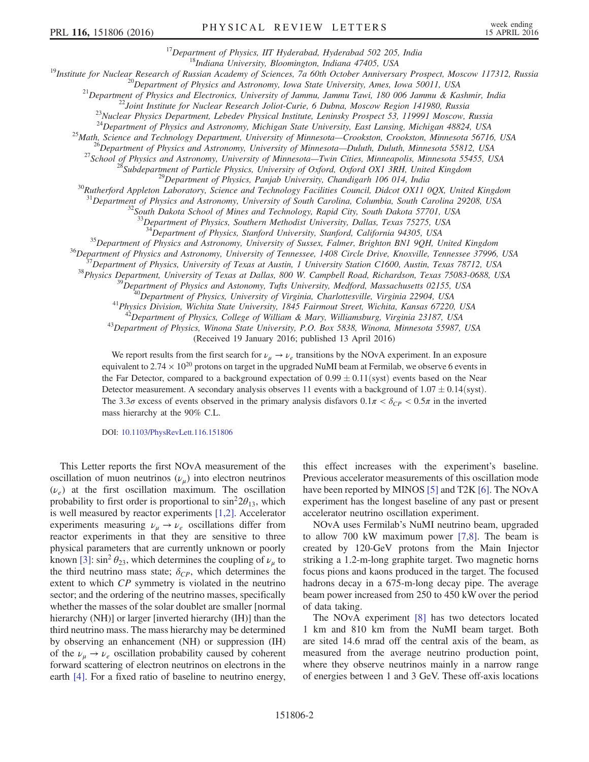<sup>17</sup>Department of Physics, IIT Hyderabad, Hyderabad 502 205, India<br><sup>18</sup>Institute for Nuclear Research of Russian Academy of Sciences, 7a 60th October Anniversary Prospect, Moscow 117312, Russia<br><sup>19</sup>Institute for Nuclear R

<sup>25</sup>Math, Science and Technology Department, University of Minnesota—Crookston, Crookston, Minnesota 56716, USA<br><sup>26</sup>Department of Physics and Astronomy, University of Minnesota—Duluth, Duluth, Minnesota 55812, USA<br><sup>27</sup>Sch

 $^{31}$ Department of Physics and Astronomy, University of South Carolina, Columbia, South Carolina 29208, USA  $^{32}$ South Dakota School of Mines and Technology, Rapid City, South Dakota 57701, USA

<sup>33</sup>Department of Physics, Southern Methodist University, Dallas, Texas 75275, USA

<sup>34</sup>Department of Physics, Stanford University, Stanford, California 94305, USA<br><sup>35</sup>Department of Physics and Astronomy, University of Sussex, Falmer, Brighton BN1 9QH, United Kingdom<br><sup>36</sup>Department of Physics and Astronom

(Received 19 January 2016; published 13 April 2016)

We report results from the first search for  $\nu_{\mu} \to \nu_{e}$  transitions by the NOvA experiment. In an exposure equivalent to  $2.74 \times 10^{20}$  protons on target in the upgraded NuMI beam at Fermilab, we observe 6 events in the Far Detector, compared to a background expectation of  $0.99 \pm 0.11$  (syst) events based on the Near Detector measurement. A secondary analysis observes 11 events with a background of  $1.07 \pm 0.14$  (syst). The 3.3 $\sigma$  excess of events observed in the primary analysis disfavors  $0.1\pi < \delta_{CP} < 0.5\pi$  in the inverted mass hierarchy at the 90% C.L.

DOI: [10.1103/PhysRevLett.116.151806](http://dx.doi.org/10.1103/PhysRevLett.116.151806)

This Letter reports the first NOvA measurement of the oscillation of muon neutrinos  $(\nu_{\mu})$  into electron neutrinos  $(\nu_e)$  at the first oscillation maximum. The oscillation probability to first order is proportional to  $\sin^2 2\theta_{13}$ , which is well measured by reactor experiments [\[1,2\]](#page-5-1). Accelerator experiments measuring  $\nu_{\mu} \rightarrow \nu_{e}$  oscillations differ from reactor experiments in that they are sensitive to three physical parameters that are currently unknown or poorly known [\[3\]:](#page-5-2)  $\sin^2 \theta_{23}$ , which determines the coupling of  $\nu_\mu$  to the third neutrino mass state;  $\delta_{CP}$ , which determines the extent to which CP symmetry is violated in the neutrino sector; and the ordering of the neutrino masses, specifically whether the masses of the solar doublet are smaller [normal hierarchy (NH)] or larger [inverted hierarchy (IH)] than the third neutrino mass. The mass hierarchy may be determined by observing an enhancement (NH) or suppression (IH) of the  $\nu_{\mu} \rightarrow \nu_{e}$  oscillation probability caused by coherent forward scattering of electron neutrinos on electrons in the earth [\[4\]](#page-5-3). For a fixed ratio of baseline to neutrino energy, this effect increases with the experiment's baseline. Previous accelerator measurements of this oscillation mode have been reported by MINOS [\[5\]](#page-5-4) and T2K [\[6\].](#page-5-5) The NOvA experiment has the longest baseline of any past or present accelerator neutrino oscillation experiment.

NOvA uses Fermilab's NuMI neutrino beam, upgraded to allow 700 kW maximum power [\[7,8\]](#page-5-6). The beam is created by 120-GeV protons from the Main Injector striking a 1.2-m-long graphite target. Two magnetic horns focus pions and kaons produced in the target. The focused hadrons decay in a 675-m-long decay pipe. The average beam power increased from 250 to 450 kW over the period of data taking.

The NOvA experiment [\[8\]](#page-5-7) has two detectors located 1 km and 810 km from the NuMI beam target. Both are sited 14.6 mrad off the central axis of the beam, as measured from the average neutrino production point, where they observe neutrinos mainly in a narrow range of energies between 1 and 3 GeV. These off-axis locations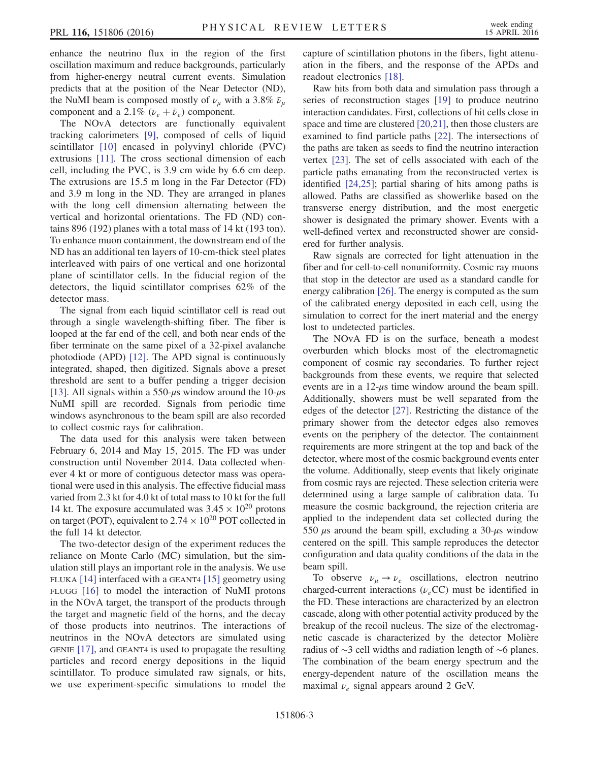enhance the neutrino flux in the region of the first oscillation maximum and reduce backgrounds, particularly from higher-energy neutral current events. Simulation predicts that at the position of the Near Detector (ND), the NuMI beam is composed mostly of  $\nu_{\mu}$  with a 3.8%  $\bar{\nu}_{\mu}$ component and a 2.1%  $(\nu_e + \bar{\nu}_e)$  component.

The NOvA detectors are functionally equivalent tracking calorimeters [\[9\]](#page-5-8), composed of cells of liquid scintillator [\[10\]](#page-5-9) encased in polyvinyl chloride (PVC) extrusions [\[11\].](#page-5-10) The cross sectional dimension of each cell, including the PVC, is 3.9 cm wide by 6.6 cm deep. The extrusions are 15.5 m long in the Far Detector (FD) and 3.9 m long in the ND. They are arranged in planes with the long cell dimension alternating between the vertical and horizontal orientations. The FD (ND) contains 896 (192) planes with a total mass of 14 kt (193 ton). To enhance muon containment, the downstream end of the ND has an additional ten layers of 10-cm-thick steel plates interleaved with pairs of one vertical and one horizontal plane of scintillator cells. In the fiducial region of the detectors, the liquid scintillator comprises 62% of the detector mass.

The signal from each liquid scintillator cell is read out through a single wavelength-shifting fiber. The fiber is looped at the far end of the cell, and both near ends of the fiber terminate on the same pixel of a 32-pixel avalanche photodiode (APD) [\[12\].](#page-5-11) The APD signal is continuously integrated, shaped, then digitized. Signals above a preset threshold are sent to a buffer pending a trigger decision [\[13\]](#page-5-12). All signals within a 550- $\mu$ s window around the 10- $\mu$ s NuMI spill are recorded. Signals from periodic time windows asynchronous to the beam spill are also recorded to collect cosmic rays for calibration.

The data used for this analysis were taken between February 6, 2014 and May 15, 2015. The FD was under construction until November 2014. Data collected whenever 4 kt or more of contiguous detector mass was operational were used in this analysis. The effective fiducial mass varied from 2.3 kt for 4.0 kt of total mass to 10 kt for the full 14 kt. The exposure accumulated was  $3.45 \times 10^{20}$  protons on target (POT), equivalent to  $2.74 \times 10^{20}$  POT collected in the full 14 kt detector.

The two-detector design of the experiment reduces the reliance on Monte Carlo (MC) simulation, but the simulation still plays an important role in the analysis. We use FLUKA [\[14\]](#page-5-13) interfaced with a GEANT4 [\[15\]](#page-5-14) geometry using FLUGG [\[16\]](#page-5-15) to model the interaction of NuMI protons in the NOvA target, the transport of the products through the target and magnetic field of the horns, and the decay of those products into neutrinos. The interactions of neutrinos in the NOvA detectors are simulated using GENIE [\[17\],](#page-5-16) and GEANT4 is used to propagate the resulting particles and record energy depositions in the liquid scintillator. To produce simulated raw signals, or hits, we use experiment-specific simulations to model the capture of scintillation photons in the fibers, light attenuation in the fibers, and the response of the APDs and readout electronics [\[18\].](#page-6-0)

Raw hits from both data and simulation pass through a series of reconstruction stages [\[19\]](#page-6-1) to produce neutrino interaction candidates. First, collections of hit cells close in space and time are clustered [\[20,21\],](#page-6-2) then those clusters are examined to find particle paths [\[22\].](#page-6-3) The intersections of the paths are taken as seeds to find the neutrino interaction vertex [\[23\]](#page-6-4). The set of cells associated with each of the particle paths emanating from the reconstructed vertex is identified [\[24,25\]](#page-6-5); partial sharing of hits among paths is allowed. Paths are classified as showerlike based on the transverse energy distribution, and the most energetic shower is designated the primary shower. Events with a well-defined vertex and reconstructed shower are considered for further analysis.

Raw signals are corrected for light attenuation in the fiber and for cell-to-cell nonuniformity. Cosmic ray muons that stop in the detector are used as a standard candle for energy calibration [\[26\]](#page-6-6). The energy is computed as the sum of the calibrated energy deposited in each cell, using the simulation to correct for the inert material and the energy lost to undetected particles.

The NOvA FD is on the surface, beneath a modest overburden which blocks most of the electromagnetic component of cosmic ray secondaries. To further reject backgrounds from these events, we require that selected events are in a  $12-\mu s$  time window around the beam spill. Additionally, showers must be well separated from the edges of the detector [\[27\]](#page-6-7). Restricting the distance of the primary shower from the detector edges also removes events on the periphery of the detector. The containment requirements are more stringent at the top and back of the detector, where most of the cosmic background events enter the volume. Additionally, steep events that likely originate from cosmic rays are rejected. These selection criteria were determined using a large sample of calibration data. To measure the cosmic background, the rejection criteria are applied to the independent data set collected during the 550  $\mu$ s around the beam spill, excluding a 30- $\mu$ s window centered on the spill. This sample reproduces the detector configuration and data quality conditions of the data in the beam spill.

To observe  $\nu_{\mu} \rightarrow \nu_{e}$  oscillations, electron neutrino charged-current interactions ( $\nu_e$ CC) must be identified in the FD. These interactions are characterized by an electron cascade, along with other potential activity produced by the breakup of the recoil nucleus. The size of the electromagnetic cascade is characterized by the detector Molière radius of ∼3 cell widths and radiation length of ∼6 planes. The combination of the beam energy spectrum and the energy-dependent nature of the oscillation means the maximal  $\nu_e$  signal appears around 2 GeV.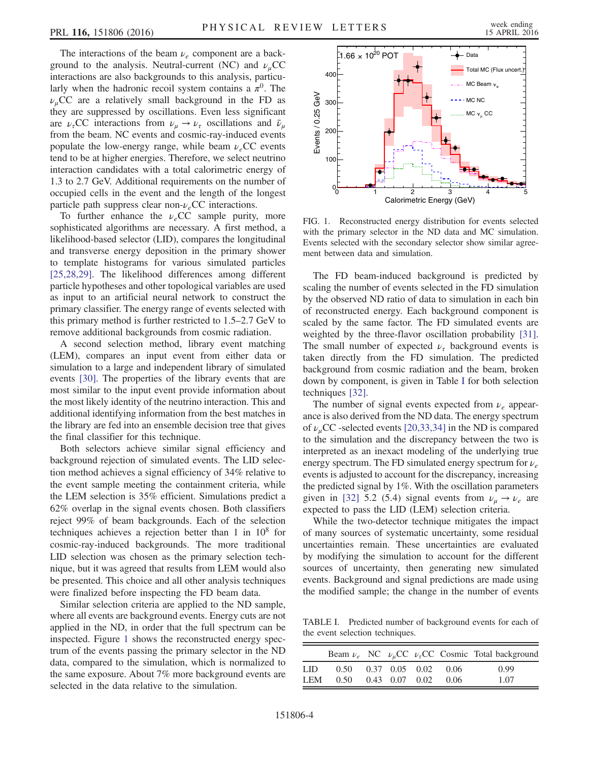The interactions of the beam  $\nu_e$  component are a background to the analysis. Neutral-current (NC) and  $\nu_{\mu}$ CC interactions are also backgrounds to this analysis, particularly when the hadronic recoil system contains a  $\pi^0$ . The  $\nu_{\mu}$ CC are a relatively small background in the FD as they are suppressed by oscillations. Even less significant are  $\nu_{\tau}$ CC interactions from  $\nu_{\mu} \rightarrow \nu_{\tau}$  oscillations and  $\bar{\nu}_{\mu}$ from the beam. NC events and cosmic-ray-induced events populate the low-energy range, while beam  $\nu_e$ CC events tend to be at higher energies. Therefore, we select neutrino interaction candidates with a total calorimetric energy of 1.3 to 2.7 GeV. Additional requirements on the number of occupied cells in the event and the length of the longest particle path suppress clear non- $\nu_e$ CC interactions.

To further enhance the  $\nu_e$ CC sample purity, more sophisticated algorithms are necessary. A first method, a likelihood-based selector (LID), compares the longitudinal and transverse energy deposition in the primary shower to template histograms for various simulated particles [\[25,28,29\]](#page-6-8). The likelihood differences among different particle hypotheses and other topological variables are used as input to an artificial neural network to construct the primary classifier. The energy range of events selected with this primary method is further restricted to 1.5–2.7 GeV to remove additional backgrounds from cosmic radiation.

A second selection method, library event matching (LEM), compares an input event from either data or simulation to a large and independent library of simulated events [\[30\].](#page-6-9) The properties of the library events that are most similar to the input event provide information about the most likely identity of the neutrino interaction. This and additional identifying information from the best matches in the library are fed into an ensemble decision tree that gives the final classifier for this technique.

Both selectors achieve similar signal efficiency and background rejection of simulated events. The LID selection method achieves a signal efficiency of 34% relative to the event sample meeting the containment criteria, while the LEM selection is 35% efficient. Simulations predict a 62% overlap in the signal events chosen. Both classifiers reject 99% of beam backgrounds. Each of the selection techniques achieves a rejection better than 1 in  $10^8$  for cosmic-ray-induced backgrounds. The more traditional LID selection was chosen as the primary selection technique, but it was agreed that results from LEM would also be presented. This choice and all other analysis techniques were finalized before inspecting the FD beam data.

Similar selection criteria are applied to the ND sample, where all events are background events. Energy cuts are not applied in the ND, in order that the full spectrum can be inspected. Figure [1](#page-3-0) shows the reconstructed energy spectrum of the events passing the primary selector in the ND data, compared to the simulation, which is normalized to the same exposure. About 7% more background events are selected in the data relative to the simulation.

<span id="page-3-0"></span>

FIG. 1. Reconstructed energy distribution for events selected with the primary selector in the ND data and MC simulation. Events selected with the secondary selector show similar agreement between data and simulation.

The FD beam-induced background is predicted by scaling the number of events selected in the FD simulation by the observed ND ratio of data to simulation in each bin of reconstructed energy. Each background component is scaled by the same factor. The FD simulated events are weighted by the three-flavor oscillation probability [\[31\]](#page-6-10). The small number of expected  $\nu_{\tau}$  background events is taken directly from the FD simulation. The predicted background from cosmic radiation and the beam, broken down by component, is given in Table [I](#page-3-1) for both selection techniques [\[32\]](#page-6-11).

The number of signal events expected from  $\nu_e$  appearance is also derived from the ND data. The energy spectrum of  $\nu$ <sub>u</sub>CC -selected events [\[20,33,34\]](#page-6-2) in the ND is compared to the simulation and the discrepancy between the two is interpreted as an inexact modeling of the underlying true energy spectrum. The FD simulated energy spectrum for  $\nu_e$ events is adjusted to account for the discrepancy, increasing the predicted signal by 1%. With the oscillation parameters given in [\[32\]](#page-6-11) 5.2 (5.4) signal events from  $\nu_{\mu} \rightarrow \nu_{e}$  are expected to pass the LID (LEM) selection criteria.

While the two-detector technique mitigates the impact of many sources of systematic uncertainty, some residual uncertainties remain. These uncertainties are evaluated by modifying the simulation to account for the different sources of uncertainty, then generating new simulated events. Background and signal predictions are made using the modified sample; the change in the number of events

<span id="page-3-1"></span>TABLE I. Predicted number of background events for each of the event selection techniques.

|            |          |                      |        | Beam $\nu_e$ NC $\nu_\mu$ CC $\nu_\tau$ CC Cosmic Total background |
|------------|----------|----------------------|--------|--------------------------------------------------------------------|
| LID        | $0.50 -$ | $0.37$ $0.05$ $0.02$ | - 0.06 | 0.99                                                               |
| <b>LEM</b> | 0.50     | $0.43$ $0.07$ $0.02$ | 0.06   | 1.07                                                               |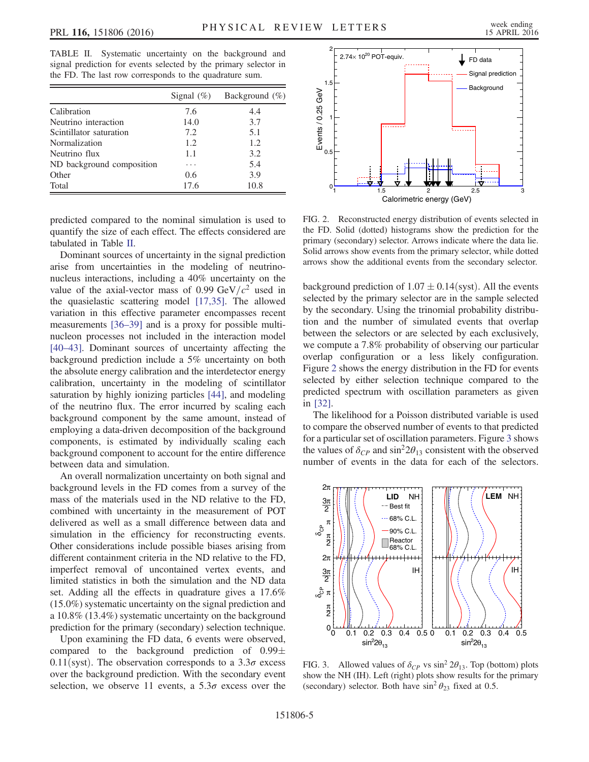<span id="page-4-0"></span>TABLE II. Systematic uncertainty on the background and signal prediction for events selected by the primary selector in the FD. The last row corresponds to the quadrature sum.

|                           | Signal $(\%)$ | Background $(\% )$ |
|---------------------------|---------------|--------------------|
| Calibration               | 7.6           | 4.4                |
| Neutrino interaction      | 14.0          | 3.7                |
| Scintillator saturation   | 7.2           | 5.1                |
| Normalization             | 1.2.          | 1.2.               |
| Neutrino flux             | 1.1           | 3.2                |
| ND background composition | .             | 5.4                |
| Other                     | 0.6           | 3.9                |
| Total                     | 17.6          | 10.8               |

predicted compared to the nominal simulation is used to quantify the size of each effect. The effects considered are tabulated in Table [II.](#page-4-0)

Dominant sources of uncertainty in the signal prediction arise from uncertainties in the modeling of neutrinonucleus interactions, including a 40% uncertainty on the value of the axial-vector mass of 0.99 GeV/ $c^2$  used in the quasielastic scattering model [\[17,35\].](#page-5-16) The allowed variation in this effective parameter encompasses recent measurements [\[36](#page-6-12)–39] and is a proxy for possible multinucleon processes not included in the interaction model [\[40](#page-6-13)–43]. Dominant sources of uncertainty affecting the background prediction include a 5% uncertainty on both the absolute energy calibration and the interdetector energy calibration, uncertainty in the modeling of scintillator saturation by highly ionizing particles [\[44\]](#page-6-14), and modeling of the neutrino flux. The error incurred by scaling each background component by the same amount, instead of employing a data-driven decomposition of the background components, is estimated by individually scaling each background component to account for the entire difference between data and simulation.

An overall normalization uncertainty on both signal and background levels in the FD comes from a survey of the mass of the materials used in the ND relative to the FD, combined with uncertainty in the measurement of POT delivered as well as a small difference between data and simulation in the efficiency for reconstructing events. Other considerations include possible biases arising from different containment criteria in the ND relative to the FD, imperfect removal of uncontained vertex events, and limited statistics in both the simulation and the ND data set. Adding all the effects in quadrature gives a 17.6% (15.0%) systematic uncertainty on the signal prediction and a 10.8% (13.4%) systematic uncertainty on the background prediction for the primary (secondary) selection technique.

Upon examining the FD data, 6 events were observed, compared to the background prediction of  $0.99\pm$ 0.11(syst). The observation corresponds to a  $3.3\sigma$  excess over the background prediction. With the secondary event selection, we observe 11 events, a  $5.3\sigma$  excess over the

<span id="page-4-1"></span>

FIG. 2. Reconstructed energy distribution of events selected in the FD. Solid (dotted) histograms show the prediction for the primary (secondary) selector. Arrows indicate where the data lie. Solid arrows show events from the primary selector, while dotted arrows show the additional events from the secondary selector.

background prediction of  $1.07 \pm 0.14$  (syst). All the events selected by the primary selector are in the sample selected by the secondary. Using the trinomial probability distribution and the number of simulated events that overlap between the selectors or are selected by each exclusively, we compute a 7.8% probability of observing our particular overlap configuration or a less likely configuration. Figure [2](#page-4-1) shows the energy distribution in the FD for events selected by either selection technique compared to the predicted spectrum with oscillation parameters as given in [\[32\]](#page-6-11).

The likelihood for a Poisson distributed variable is used to compare the observed number of events to that predicted for a particular set of oscillation parameters. Figure [3](#page-4-2) shows the values of  $\delta_{CP}$  and  $\sin^2 2\theta_{13}$  consistent with the observed number of events in the data for each of the selectors.

<span id="page-4-2"></span>

FIG. 3. Allowed values of  $\delta_{CP}$  vs sin<sup>2</sup> 2 $\theta_{13}$ . Top (bottom) plots show the NH (IH). Left (right) plots show results for the primary (secondary) selector. Both have  $\sin^2 \theta_{23}$  fixed at 0.5.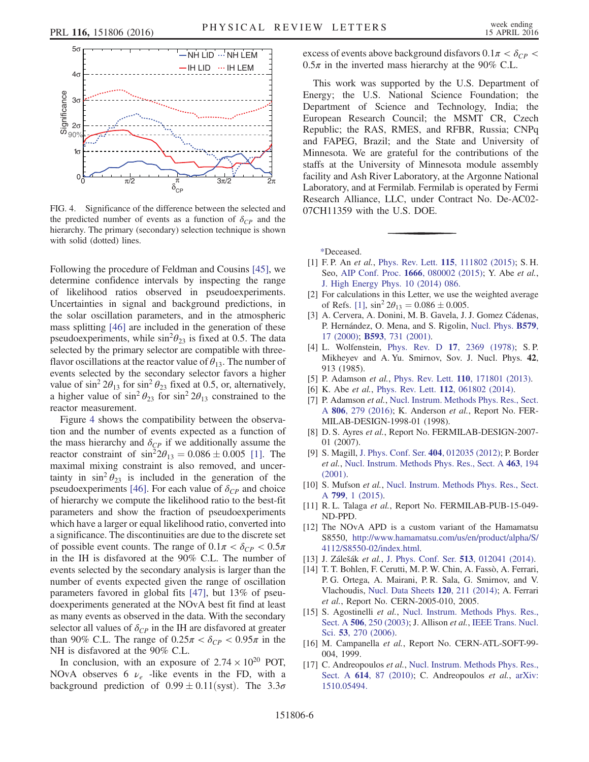<span id="page-5-17"></span>

FIG. 4. Significance of the difference between the selected and the predicted number of events as a function of  $\delta_{CP}$  and the hierarchy. The primary (secondary) selection technique is shown with solid (dotted) lines.

Following the procedure of Feldman and Cousins [\[45\]](#page-6-15), we determine confidence intervals by inspecting the range of likelihood ratios observed in pseudoexperiments. Uncertainties in signal and background predictions, in the solar oscillation parameters, and in the atmospheric mass splitting [\[46\]](#page-6-16) are included in the generation of these pseudoexperiments, while  $\sin^2\theta_{23}$  is fixed at 0.5. The data selected by the primary selector are compatible with threeflavor oscillations at the reactor value of  $\theta_{13}$ . The number of events selected by the secondary selector favors a higher value of  $\sin^2 2\theta_{13}$  for  $\sin^2 \theta_{23}$  fixed at 0.5, or, alternatively, a higher value of  $\sin^2 \theta_{23}$  for  $\sin^2 2\theta_{13}$  constrained to the reactor measurement.

Figure [4](#page-5-17) shows the compatibility between the observation and the number of events expected as a function of the mass hierarchy and  $\delta_{CP}$  if we additionally assume the reactor constraint of  $\sin^2 2\theta_{13} = 0.086 \pm 0.005$  [\[1\].](#page-5-1) The maximal mixing constraint is also removed, and uncertainty in  $\sin^2 \theta_{23}$  is included in the generation of the pseudoexperiments [\[46\]](#page-6-16). For each value of  $\delta_{CP}$  and choice of hierarchy we compute the likelihood ratio to the best-fit parameters and show the fraction of pseudoexperiments which have a larger or equal likelihood ratio, converted into a significance. The discontinuities are due to the discrete set of possible event counts. The range of  $0.1\pi < \delta_{CP} < 0.5\pi$ in the IH is disfavored at the 90% C.L. The number of events selected by the secondary analysis is larger than the number of events expected given the range of oscillation parameters favored in global fits [\[47\]](#page-6-17), but 13% of pseudoexperiments generated at the NOvA best fit find at least as many events as observed in the data. With the secondary selector all values of  $\delta_{CP}$  in the IH are disfavored at greater than 90% C.L. The range of  $0.25\pi < \delta_{CP} < 0.95\pi$  in the NH is disfavored at the 90% C.L.

In conclusion, with an exposure of  $2.74 \times 10^{20}$  POT, NOvA observes 6  $\nu_e$  -like events in the FD, with a background prediction of  $0.99 \pm 0.11$ (syst). The  $3.3\sigma$  excess of events above background disfavors  $0.1\pi < \delta_{CP} <$  $0.5\pi$  in the inverted mass hierarchy at the 90% C.L.

This work was supported by the U.S. Department of Energy; the U.S. National Science Foundation; the Department of Science and Technology, India; the European Research Council; the MSMT CR, Czech Republic; the RAS, RMES, and RFBR, Russia; CNPq and FAPEG, Brazil; and the State and University of Minnesota. We are grateful for the contributions of the staffs at the University of Minnesota module assembly facility and Ash River Laboratory, at the Argonne National Laboratory, and at Fermilab. Fermilab is operated by Fermi Research Alliance, LLC, under Contract No. De-AC02- 07CH11359 with the U.S. DOE.

<span id="page-5-0"></span>[\\*D](#page-0-0)eceased.

- <span id="page-5-1"></span>[1] F. P. An et al., Phys. Rev. Lett. **115**[, 111802 \(2015\)](http://dx.doi.org/10.1103/PhysRevLett.115.111802); S. H. Seo, AIP Conf. Proc. **1666**[, 080002 \(2015\);](http://dx.doi.org/10.1063/1.4915563) Y. Abe et al., [J. High Energy Phys. 10 \(2014\) 086.](http://dx.doi.org/10.1007/JHEP10(2014)086)
- [2] For calculations in this Letter, we use the weighted average of Refs. [\[1\],](#page-5-1)  $\sin^2 2\theta_{13} = 0.086 \pm 0.005$ .
- <span id="page-5-2"></span>[3] A. Cervera, A. Donini, M. B. Gavela, J. J. Gomez Cádenas, P. Hernández, O. Mena, and S. Rigolin, [Nucl. Phys.](http://dx.doi.org/10.1016/S0550-3213(00)00221-2) B579, [17 \(2000\);](http://dx.doi.org/10.1016/S0550-3213(00)00221-2) B593[, 731 \(2001\).](http://dx.doi.org/10.1016/S0550-3213(00)00606-4)
- <span id="page-5-3"></span>[4] L. Wolfenstein, Phys. Rev. D 17[, 2369 \(1978\)](http://dx.doi.org/10.1103/PhysRevD.17.2369); S. P. Mikheyev and A. Yu. Smirnov, Sov. J. Nucl. Phys. 42, 913 (1985).
- <span id="page-5-5"></span><span id="page-5-4"></span>[5] P. Adamson et al., Phys. Rev. Lett. **110**[, 171801 \(2013\).](http://dx.doi.org/10.1103/PhysRevLett.110.171801)
- <span id="page-5-6"></span>[6] K. Abe et al., Phys. Rev. Lett. 112[, 061802 \(2014\).](http://dx.doi.org/10.1103/PhysRevLett.112.061802)
- [7] P. Adamson et al., [Nucl. Instrum. Methods Phys. Res., Sect.](http://dx.doi.org/10.1016/j.nima.2015.08.063) A 806[, 279 \(2016\)](http://dx.doi.org/10.1016/j.nima.2015.08.063); K. Anderson et al., Report No. FER-MILAB-DESIGN-1998-01 (1998).
- <span id="page-5-7"></span>[8] D. S. Ayres et al., Report No. FERMILAB-DESIGN-2007-01 (2007).
- <span id="page-5-8"></span>[9] S. Magill, [J. Phys. Conf. Ser.](http://dx.doi.org/10.1088/1742-6596/404/1/012035) 404, 012035 (2012); P. Border et al., [Nucl. Instrum. Methods Phys. Res., Sect. A](http://dx.doi.org/10.1016/S0168-9002(01)00525-3) 463, 194 [\(2001\).](http://dx.doi.org/10.1016/S0168-9002(01)00525-3)
- <span id="page-5-9"></span>[10] S. Mufson et al., [Nucl. Instrum. Methods Phys. Res., Sect.](http://dx.doi.org/10.1016/j.nima.2015.07.026) A 799[, 1 \(2015\)](http://dx.doi.org/10.1016/j.nima.2015.07.026).
- <span id="page-5-10"></span>[11] R. L. Talaga et al., Report No. FERMILAB-PUB-15-049-ND-PPD.
- <span id="page-5-11"></span>[12] The NOvA APD is a custom variant of the Hamamatsu S8550, [http://www.hamamatsu.com/us/en/product/alpha/S/](http://www.hamamatsu.com/us/en/product/alpha/S/4112/S8550-02/index.html) [4112/S8550](http://www.hamamatsu.com/us/en/product/alpha/S/4112/S8550-02/index.html)‑[02/index.html](http://www.hamamatsu.com/us/en/product/alpha/S/4112/S8550-02/index.html).
- <span id="page-5-13"></span><span id="page-5-12"></span>[13] J. Zálešák et al., [J. Phys. Conf. Ser.](http://dx.doi.org/10.1088/1742-6596/513/1/012041) 513, 012041 (2014).
- [14] T. T. Bohlen, F. Cerutti, M. P. W. Chin, A. Fassò, A. Ferrari, P. G. Ortega, A. Mairani, P. R. Sala, G. Smirnov, and V. Vlachoudis, [Nucl. Data Sheets](http://dx.doi.org/10.1016/j.nds.2014.07.049) 120, 211 (2014); A. Ferrari et al., Report No. CERN-2005-010, 2005.
- <span id="page-5-14"></span>[15] S. Agostinelli et al., [Nucl. Instrum. Methods Phys. Res.,](http://dx.doi.org/10.1016/S0168-9002(03)01368-8) Sect. A **506**[, 250 \(2003\);](http://dx.doi.org/10.1016/S0168-9002(03)01368-8) J. Allison *et al.*, [IEEE Trans. Nucl.](http://dx.doi.org/10.1109/TNS.2006.869826) Sci. 53[, 270 \(2006\)](http://dx.doi.org/10.1109/TNS.2006.869826).
- <span id="page-5-15"></span>[16] M. Campanella et al., Report No. CERN-ATL-SOFT-99-004, 1999.
- <span id="page-5-16"></span>[17] C. Andreopoulos et al., [Nucl. Instrum. Methods Phys. Res.,](http://dx.doi.org/10.1016/j.nima.2009.12.009) Sect. A **614**[, 87 \(2010\);](http://dx.doi.org/10.1016/j.nima.2009.12.009) C. Andreopoulos *et al.*, [arXiv:](http://arXiv.org/abs/1510.05494) [1510.05494.](http://arXiv.org/abs/1510.05494)